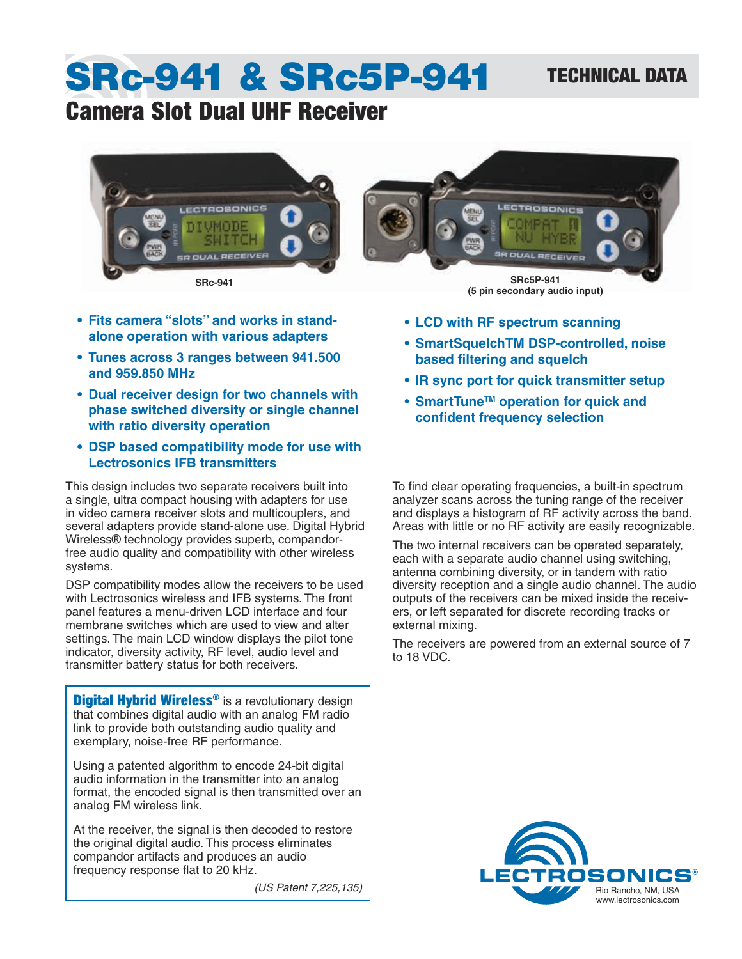### TECHNICAL DATA

# SRc-941 & SRc5P-941

## Camera Slot Dual UHF Receiver



- **• Fits camera "slots" and works in standalone operation with various adapters**
- **• Tunes across 3 ranges between 941.500 and 959.850 MHz**
- **• Dual receiver design for two channels with phase switched diversity or single channel with ratio diversity operation**
- **• DSP based compatibility mode for use with Lectrosonics IFB transmitters**

This design includes two separate receivers built into a single, ultra compact housing with adapters for use in video camera receiver slots and multicouplers, and several adapters provide stand-alone use. Digital Hybrid Wireless® technology provides superb, compandorfree audio quality and compatibility with other wireless systems.

DSP compatibility modes allow the receivers to be used with Lectrosonics wireless and IFB systems. The front panel features a menu-driven LCD interface and four membrane switches which are used to view and alter settings. The main LCD window displays the pilot tone indicator, diversity activity, RF level, audio level and transmitter battery status for both receivers.

**Digital Hybrid Wireless<sup>®</sup>** is a revolutionary design that combines digital audio with an analog FM radio link to provide both outstanding audio quality and exemplary, noise-free RF performance.

Using a patented algorithm to encode 24-bit digital audio information in the transmitter into an analog format, the encoded signal is then transmitted over an analog FM wireless link.

At the receiver, the signal is then decoded to restore the original digital audio. This process eliminates compandor artifacts and produces an audio frequency response flat to 20 kHz.

*(US Patent 7,225,135)*



- **• LCD with RF spectrum scanning**
- **• SmartSquelchTM DSP-controlled, noise based filtering and squelch**
- **• IR sync port for quick transmitter setup**
- **• SmartTuneTM operation for quick and confident frequency selection**

To find clear operating frequencies, a built-in spectrum analyzer scans across the tuning range of the receiver and displays a histogram of RF activity across the band. Areas with little or no RF activity are easily recognizable.

The two internal receivers can be operated separately, each with a separate audio channel using switching, antenna combining diversity, or in tandem with ratio diversity reception and a single audio channel. The audio outputs of the receivers can be mixed inside the receivers, or left separated for discrete recording tracks or external mixing.

The receivers are powered from an external source of 7 to 18 VDC.

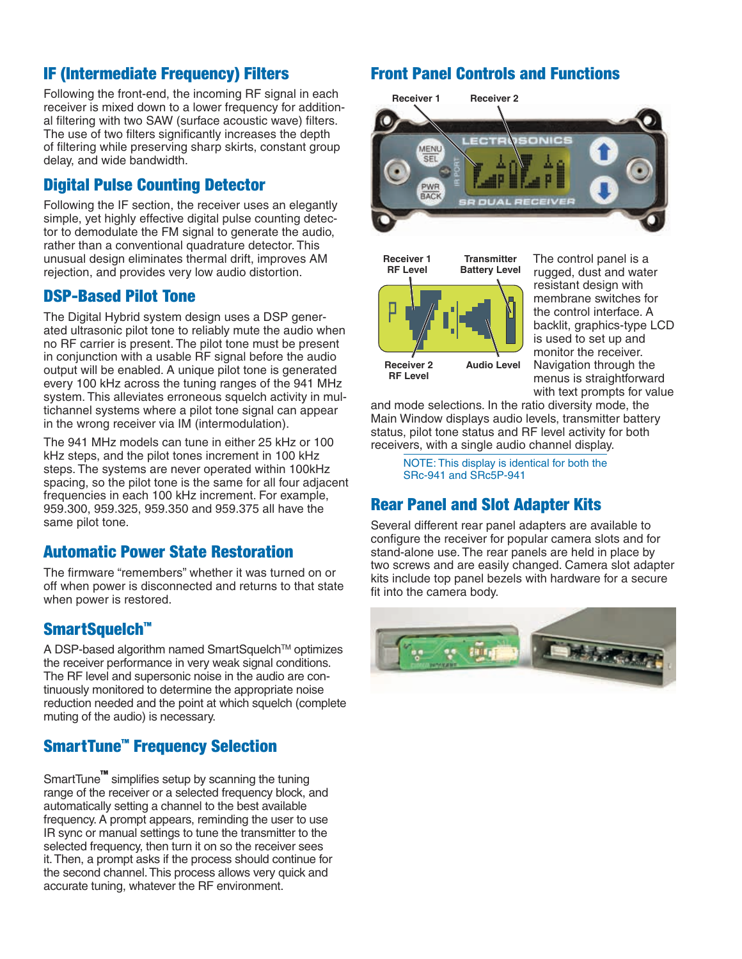#### IF (Intermediate Frequency) Filters

Following the front-end, the incoming RF signal in each receiver is mixed down to a lower frequency for additional filtering with two SAW (surface acoustic wave) filters. The use of two filters significantly increases the depth of filtering while preserving sharp skirts, constant group delay, and wide bandwidth.

#### Digital Pulse Counting Detector

Following the IF section, the receiver uses an elegantly simple, yet highly effective digital pulse counting detector to demodulate the FM signal to generate the audio, rather than a conventional quadrature detector. This unusual design eliminates thermal drift, improves AM rejection, and provides very low audio distortion.

#### DSP-Based Pilot Tone

The Digital Hybrid system design uses a DSP generated ultrasonic pilot tone to reliably mute the audio when no RF carrier is present. The pilot tone must be present in conjunction with a usable RF signal before the audio output will be enabled. A unique pilot tone is generated every 100 kHz across the tuning ranges of the 941 MHz system. This alleviates erroneous squelch activity in multichannel systems where a pilot tone signal can appear in the wrong receiver via IM (intermodulation).

The 941 MHz models can tune in either 25 kHz or 100 kHz steps, and the pilot tones increment in 100 kHz steps. The systems are never operated within 100kHz spacing, so the pilot tone is the same for all four adjacent frequencies in each 100 kHz increment. For example, 959.300, 959.325, 959.350 and 959.375 all have the same pilot tone.

#### Automatic Power State Restoration

The firmware "remembers" whether it was turned on or off when power is disconnected and returns to that state when power is restored.

#### SmartSquelch<sup>™</sup>

A DSP-based algorithm named SmartSquelch™ optimizes the receiver performance in very weak signal conditions. The RF level and supersonic noise in the audio are continuously monitored to determine the appropriate noise reduction needed and the point at which squelch (complete) muting of the audio) is necessary.

#### SmartTune™ Frequency Selection

SmartTune™ simplifies setup by scanning the tuning range of the receiver or a selected frequency block, and automatically setting a channel to the best available frequency. A prompt appears, reminding the user to use IR sync or manual settings to tune the transmitter to the selected frequency, then turn it on so the receiver sees it. Then, a prompt asks if the process should continue for the second channel. This process allows very quick and accurate tuning, whatever the RF environment.

#### Front Panel Controls and Functions



**Receiver 1 RF Level**

**Receiver 2 RF Level**



The control panel is a rugged, dust and water resistant design with membrane switches for the control interface. A backlit, graphics-type LCD is used to set up and monitor the receiver. Navigation through the menus is straightforward with text prompts for value

and mode selections. In the ratio diversity mode, the Main Window displays audio levels, transmitter battery status, pilot tone status and RF level activity for both receivers, with a single audio channel display.

> NOTE: This display is identical for both the SRc-941 and SRc5P-941

**Audio Level**

**Transmitter** 

#### Rear Panel and Slot Adapter Kits

Several different rear panel adapters are available to configure the receiver for popular camera slots and for stand-alone use. The rear panels are held in place by two screws and are easily changed. Camera slot adapter kits include top panel bezels with hardware for a secure fit into the camera body.

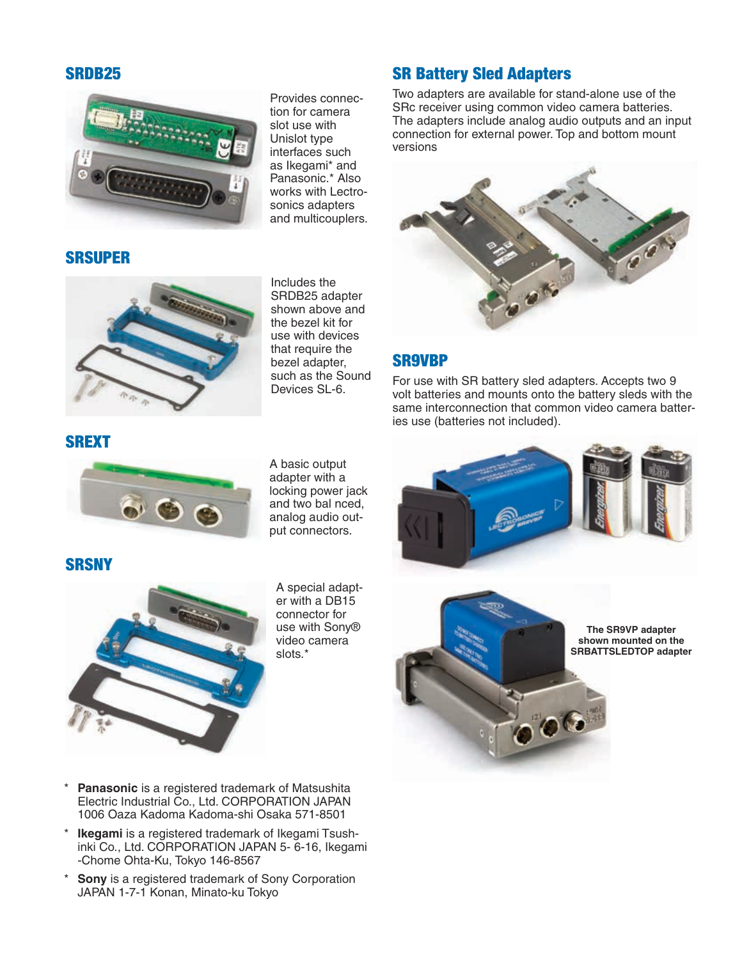#### SRDB25

SRSUPER



Provides connection for camera slot use with Unislot type interfaces such as Ikegami\* and Panasonic.\* Also works with Lectrosonics adapters and multicouplers.

#### SR Battery Sled Adapters

Two adapters are available for stand-alone use of the SRc receiver using common video camera batteries. The adapters include analog audio outputs and an input connection for external power. Top and bottom mount versions



#### SR9VBP

For use with SR battery sled adapters. Accepts two 9 volt batteries and mounts onto the battery sleds with the same interconnection that common video camera batteries use (batteries not included).



Includes the SRDB25 adapter shown above and the bezel kit for use with devices that require the bezel adapter, such as the Sound Devices SL-6.

#### SREXT



A basic output adapter with a locking power jack and two bal nced, analog audio output connectors.

**SRSNY** 



A special adapter with a DB15 connector for use with Sony® video camera slots.\*





**The SR9VP adapter shown mounted on the SRBATTSLEDTOP adapter**

- Panasonic is a registered trademark of Matsushita Electric Industrial Co., Ltd. CORPORATION JAPAN 1006 Oaza Kadoma Kadoma-shi Osaka 571-8501
- **Ikegami** is a registered trademark of Ikegami Tsushinki Co., Ltd. CORPORATION JAPAN 5- 6-16, Ikegami -Chome Ohta-Ku, Tokyo 146-8567
- \* **Sony** is a registered trademark of Sony Corporation JAPAN 1-7-1 Konan, Minato-ku Tokyo